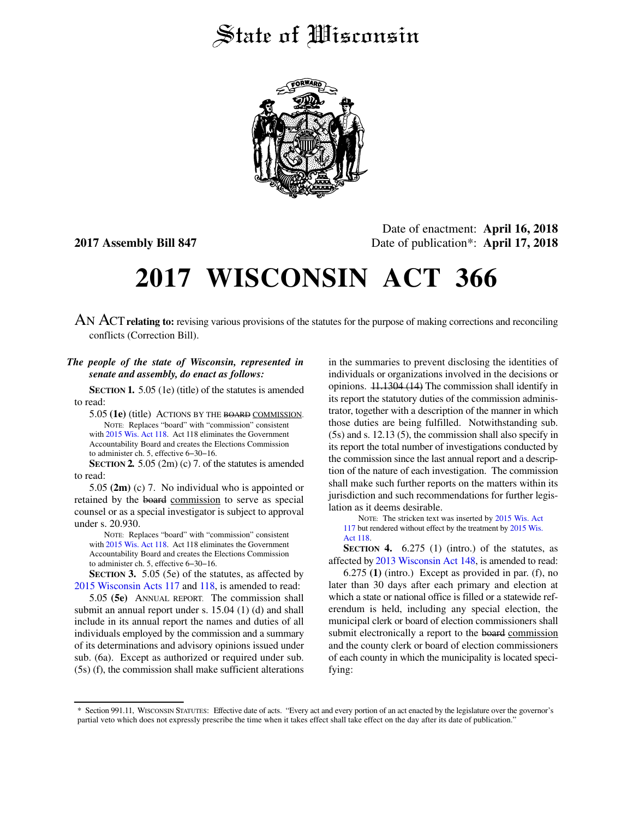## State of Wisconsin



Date of enactment: **April 16, 2018 2017 Assembly Bill 847** Date of publication\*: **April 17, 2018**

# **2017 WISCONSIN ACT 366**

AN ACT**relating to:** revising various provisions of the statutes for the purpose of making corrections and reconciling conflicts (Correction Bill).

#### *The people of the state of Wisconsin, represented in senate and assembly, do enact as follows:*

**SECTION 1.** 5.05 (1e) (title) of the statutes is amended to read:

5.05 **(1e)** (title) ACTIONS BY THE BOARD COMMISSION. NOTE: Replaces "board" with "commission" consistent with [2015 Wis. Act 118](https://docs.legis.wisconsin.gov/document/acts/2015/118). Act 118 eliminates the Government Accountability Board and creates the Elections Commission to administer ch. 5, effective 6−30−16.

**SECTION 2.** 5.05 (2m) (c) 7. of the statutes is amended to read:

5.05 **(2m)** (c) 7. No individual who is appointed or retained by the board commission to serve as special counsel or as a special investigator is subject to approval under s. 20.930.

NOTE: Replaces "board" with "commission" consistent with [2015 Wis. Act 118](https://docs.legis.wisconsin.gov/document/acts/2015/118). Act 118 eliminates the Government Accountability Board and creates the Elections Commission to administer ch. 5, effective 6−30−16.

**SECTION 3.** 5.05 (5e) of the statutes, as affected by [2015 Wisconsin Acts 117](https://docs.legis.wisconsin.gov/document/acts/2015/117) and [118,](https://docs.legis.wisconsin.gov/document/acts/2015/118) is amended to read:

5.05 **(5e)** ANNUAL REPORT. The commission shall submit an annual report under s. 15.04 (1) (d) and shall include in its annual report the names and duties of all individuals employed by the commission and a summary of its determinations and advisory opinions issued under sub. (6a). Except as authorized or required under sub. (5s) (f), the commission shall make sufficient alterations

in the summaries to prevent disclosing the identities of individuals or organizations involved in the decisions or opinions. 11.1304 (14) The commission shall identify in its report the statutory duties of the commission administrator, together with a description of the manner in which those duties are being fulfilled. Notwithstanding sub. (5s) and s. 12.13 (5), the commission shall also specify in its report the total number of investigations conducted by the commission since the last annual report and a description of the nature of each investigation. The commission shall make such further reports on the matters within its jurisdiction and such recommendations for further legislation as it deems desirable.

NOTE: The stricken text was inserted by [2015 Wis. Act](https://docs.legis.wisconsin.gov/document/acts/2015/117) [117](https://docs.legis.wisconsin.gov/document/acts/2015/117) but rendered without effect by the treatment by [2015 Wis.](https://docs.legis.wisconsin.gov/document/acts/2015/118) [Act 118.](https://docs.legis.wisconsin.gov/document/acts/2015/118)

**SECTION 4.** 6.275 (1) (intro.) of the statutes, as affected by [2013 Wisconsin Act 148,](https://docs.legis.wisconsin.gov/document/acts/2013/148) is amended to read:

6.275 **(1)** (intro.) Except as provided in par. (f), no later than 30 days after each primary and election at which a state or national office is filled or a statewide referendum is held, including any special election, the municipal clerk or board of election commissioners shall submit electronically a report to the board commission and the county clerk or board of election commissioners of each county in which the municipality is located specifying:

<sup>\*</sup> Section 991.11, WISCONSIN STATUTES: Effective date of acts. "Every act and every portion of an act enacted by the legislature over the governor's partial veto which does not expressly prescribe the time when it takes effect shall take effect on the day after its date of publication."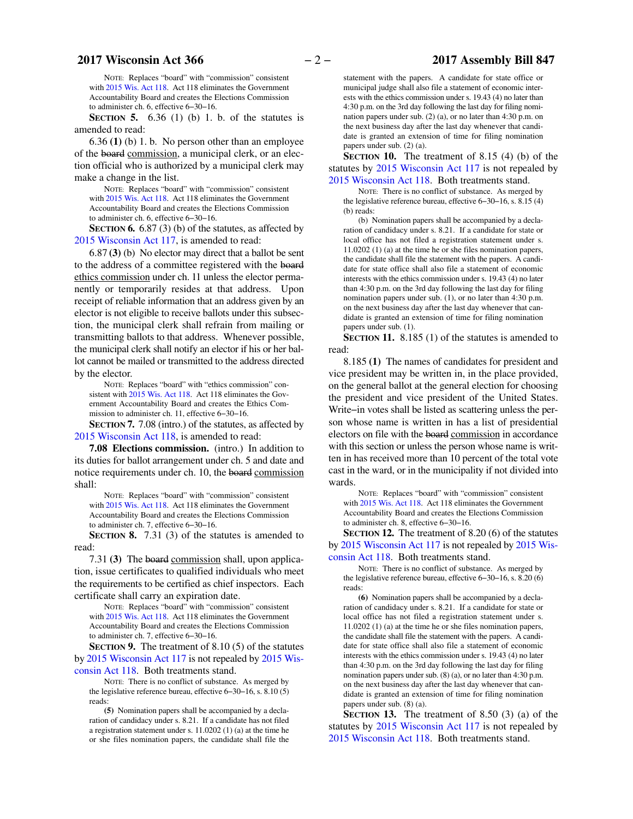NOTE: Replaces "board" with "commission" consistent with [2015 Wis. Act 118](https://docs.legis.wisconsin.gov/document/acts/2015/118). Act 118 eliminates the Government Accountability Board and creates the Elections Commission to administer ch. 6, effective 6−30−16.

**SECTION 5.** 6.36 (1) (b) 1. b. of the statutes is amended to read:

6.36 **(1)** (b) 1. b. No person other than an employee of the board commission, a municipal clerk, or an election official who is authorized by a municipal clerk may make a change in the list.

NOTE: Replaces "board" with "commission" consistent with [2015 Wis. Act 118](https://docs.legis.wisconsin.gov/document/acts/2015/118). Act 118 eliminates the Government Accountability Board and creates the Elections Commission to administer ch. 6, effective 6−30−16.

**SECTION 6.** 6.87 (3) (b) of the statutes, as affected by [2015 Wisconsin Act 117](https://docs.legis.wisconsin.gov/document/acts/2015/117), is amended to read:

6.87 **(3)** (b) No elector may direct that a ballot be sent to the address of a committee registered with the board ethics commission under ch. 11 unless the elector permanently or temporarily resides at that address. Upon receipt of reliable information that an address given by an elector is not eligible to receive ballots under this subsection, the municipal clerk shall refrain from mailing or transmitting ballots to that address. Whenever possible, the municipal clerk shall notify an elector if his or her ballot cannot be mailed or transmitted to the address directed by the elector.

NOTE: Replaces "board" with "ethics commission" consistent with [2015 Wis. Act 118](https://docs.legis.wisconsin.gov/document/acts/2015/118). Act 118 eliminates the Government Accountability Board and creates the Ethics Commission to administer ch. 11, effective 6−30−16.

**SECTION 7.** 7.08 (intro.) of the statutes, as affected by [2015 Wisconsin Act 118](https://docs.legis.wisconsin.gov/document/acts/2015/118), is amended to read:

**7.08 Elections commission.** (intro.) In addition to its duties for ballot arrangement under ch. 5 and date and notice requirements under ch. 10, the board commission shall:

NOTE: Replaces "board" with "commission" consistent with [2015 Wis. Act 118](https://docs.legis.wisconsin.gov/document/acts/2015/118). Act 118 eliminates the Government Accountability Board and creates the Elections Commission to administer ch. 7, effective 6−30−16.

**SECTION 8.** 7.31 (3) of the statutes is amended to read:

7.31 **(3)** The board commission shall, upon application, issue certificates to qualified individuals who meet the requirements to be certified as chief inspectors. Each certificate shall carry an expiration date.

NOTE: Replaces "board" with "commission" consistent with [2015 Wis. Act 118](https://docs.legis.wisconsin.gov/document/acts/2015/118). Act 118 eliminates the Government Accountability Board and creates the Elections Commission to administer ch. 7, effective 6−30−16.

**SECTION 9.** The treatment of 8.10 (5) of the statutes by [2015 Wisconsin Act 117](https://docs.legis.wisconsin.gov/document/acts/2015/117) is not repealed by [2015 Wis](https://docs.legis.wisconsin.gov/document/acts/2015/118)[consin Act 118.](https://docs.legis.wisconsin.gov/document/acts/2015/118) Both treatments stand.

NOTE: There is no conflict of substance. As merged by the legislative reference bureau, effective 6−30−16, s. 8.10 (5) reads:

**(5)** Nomination papers shall be accompanied by a declaration of candidacy under s. 8.21. If a candidate has not filed a registration statement under s. 11.0202 (1) (a) at the time he or she files nomination papers, the candidate shall file the

statement with the papers. A candidate for state office or municipal judge shall also file a statement of economic interests with the ethics commission under s. 19.43 (4) no later than 4:30 p.m. on the 3rd day following the last day for filing nomination papers under sub. (2) (a), or no later than 4:30 p.m. on the next business day after the last day whenever that candidate is granted an extension of time for filing nomination papers under sub. (2) (a).

**SECTION 10.** The treatment of 8.15 (4) (b) of the statutes by [2015 Wisconsin Act 117](https://docs.legis.wisconsin.gov/document/acts/2015/117) is not repealed by [2015 Wisconsin Act 118](https://docs.legis.wisconsin.gov/document/acts/2015/118). Both treatments stand.

NOTE: There is no conflict of substance. As merged by the legislative reference bureau, effective 6−30−16, s. 8.15 (4) (b) reads:

(b) Nomination papers shall be accompanied by a declaration of candidacy under s. 8.21. If a candidate for state or local office has not filed a registration statement under s. 11.0202 (1) (a) at the time he or she files nomination papers, the candidate shall file the statement with the papers. A candidate for state office shall also file a statement of economic interests with the ethics commission under s. 19.43 (4) no later than 4:30 p.m. on the 3rd day following the last day for filing nomination papers under sub. (1), or no later than 4:30 p.m. on the next business day after the last day whenever that candidate is granted an extension of time for filing nomination papers under sub. (1).

**SECTION 11.** 8.185 (1) of the statutes is amended to read:

8.185 **(1)** The names of candidates for president and vice president may be written in, in the place provided, on the general ballot at the general election for choosing the president and vice president of the United States. Write−in votes shall be listed as scattering unless the person whose name is written in has a list of presidential electors on file with the board commission in accordance with this section or unless the person whose name is written in has received more than 10 percent of the total vote cast in the ward, or in the municipality if not divided into wards.

NOTE: Replaces "board" with "commission" consistent with [2015 Wis. Act 118](https://docs.legis.wisconsin.gov/document/acts/2015/118). Act 118 eliminates the Government Accountability Board and creates the Elections Commission to administer ch. 8, effective 6−30−16.

**SECTION 12.** The treatment of 8.20 (6) of the statutes by [2015 Wisconsin Act 117](https://docs.legis.wisconsin.gov/document/acts/2015/117) is not repealed by [2015 Wis](https://docs.legis.wisconsin.gov/document/acts/2015/118)[consin Act 118.](https://docs.legis.wisconsin.gov/document/acts/2015/118) Both treatments stand.

NOTE: There is no conflict of substance. As merged by the legislative reference bureau, effective 6−30−16, s. 8.20 (6) reads:

**(6)** Nomination papers shall be accompanied by a declaration of candidacy under s. 8.21. If a candidate for state or local office has not filed a registration statement under s. 11.0202 (1) (a) at the time he or she files nomination papers, the candidate shall file the statement with the papers. A candidate for state office shall also file a statement of economic interests with the ethics commission under s. 19.43 (4) no later than 4:30 p.m. on the 3rd day following the last day for filing nomination papers under sub. (8) (a), or no later than 4:30 p.m. on the next business day after the last day whenever that candidate is granted an extension of time for filing nomination papers under sub. (8) (a).

**SECTION 13.** The treatment of 8.50 (3) (a) of the statutes by [2015 Wisconsin Act 117](https://docs.legis.wisconsin.gov/document/acts/2015/117) is not repealed by [2015 Wisconsin Act 118](https://docs.legis.wisconsin.gov/document/acts/2015/118). Both treatments stand.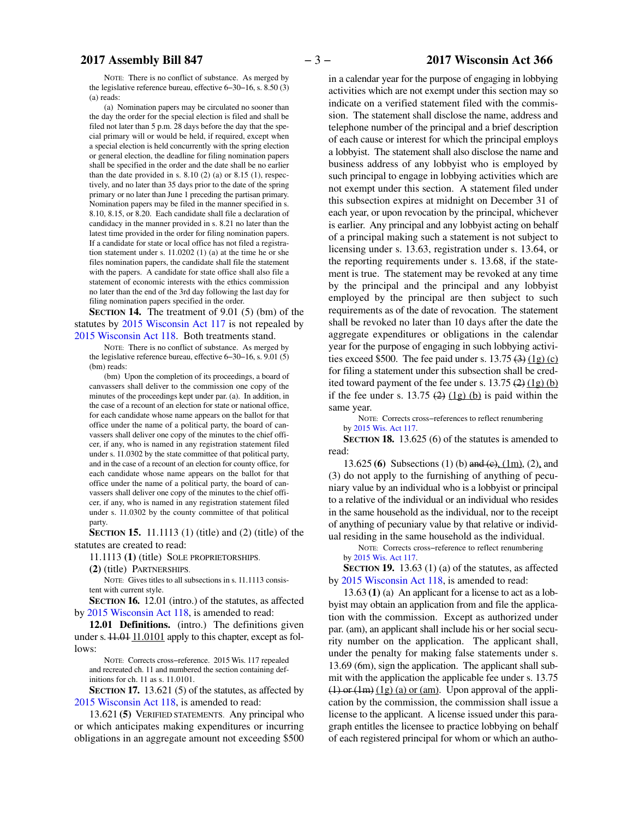#### NOTE: There is no conflict of substance. As merged by the legislative reference bureau, effective 6−30−16, s. 8.50 (3) (a) reads:

(a) Nomination papers may be circulated no sooner than the day the order for the special election is filed and shall be filed not later than 5 p.m. 28 days before the day that the special primary will or would be held, if required, except when a special election is held concurrently with the spring election or general election, the deadline for filing nomination papers shall be specified in the order and the date shall be no earlier than the date provided in s.  $8.10(2)(a)$  or  $8.15(1)$ , respectively, and no later than 35 days prior to the date of the spring primary or no later than June 1 preceding the partisan primary. Nomination papers may be filed in the manner specified in s. 8.10, 8.15, or 8.20. Each candidate shall file a declaration of candidacy in the manner provided in s. 8.21 no later than the latest time provided in the order for filing nomination papers. If a candidate for state or local office has not filed a registration statement under s. 11.0202 (1) (a) at the time he or she files nomination papers, the candidate shall file the statement with the papers. A candidate for state office shall also file a statement of economic interests with the ethics commission no later than the end of the 3rd day following the last day for filing nomination papers specified in the order.

**SECTION 14.** The treatment of 9.01 (5) (bm) of the statutes by [2015 Wisconsin Act 117](https://docs.legis.wisconsin.gov/document/acts/2015/117) is not repealed by [2015 Wisconsin Act 118](https://docs.legis.wisconsin.gov/document/acts/2015/118). Both treatments stand.

NOTE: There is no conflict of substance. As merged by the legislative reference bureau, effective 6−30−16, s. 9.01 (5) (bm) reads:

(bm) Upon the completion of its proceedings, a board of canvassers shall deliver to the commission one copy of the minutes of the proceedings kept under par. (a). In addition, in the case of a recount of an election for state or national office, for each candidate whose name appears on the ballot for that office under the name of a political party, the board of canvassers shall deliver one copy of the minutes to the chief officer, if any, who is named in any registration statement filed under s. 11.0302 by the state committee of that political party, and in the case of a recount of an election for county office, for each candidate whose name appears on the ballot for that office under the name of a political party, the board of canvassers shall deliver one copy of the minutes to the chief officer, if any, who is named in any registration statement filed under s. 11.0302 by the county committee of that political party.

**SECTION 15.** 11.1113 (1) (title) and (2) (title) of the statutes are created to read:

11.1113 **(1)** (title) SOLE PROPRIETORSHIPS.

**(2)** (title) PARTNERSHIPS.

NOTE: Gives titles to all subsections in s. 11.1113 consistent with current style.

**SECTION 16.** 12.01 (intro.) of the statutes, as affected by [2015 Wisconsin Act 118,](https://docs.legis.wisconsin.gov/document/acts/2015/118) is amended to read:

**12.01 Definitions.** (intro.) The definitions given under s.  $11.01 \underline{11.0101}$  apply to this chapter, except as follows:

NOTE: Corrects cross−reference. 2015 Wis. 117 repealed and recreated ch. 11 and numbered the section containing definitions for ch. 11 as s. 11.0101.

**SECTION 17.** 13.621 (5) of the statutes, as affected by [2015 Wisconsin Act 118](https://docs.legis.wisconsin.gov/document/acts/2015/118), is amended to read:

13.621 **(5)** VERIFIED STATEMENTS. Any principal who or which anticipates making expenditures or incurring obligations in an aggregate amount not exceeding \$500 in a calendar year for the purpose of engaging in lobbying activities which are not exempt under this section may so indicate on a verified statement filed with the commission. The statement shall disclose the name, address and telephone number of the principal and a brief description of each cause or interest for which the principal employs a lobbyist. The statement shall also disclose the name and business address of any lobbyist who is employed by such principal to engage in lobbying activities which are not exempt under this section. A statement filed under this subsection expires at midnight on December 31 of each year, or upon revocation by the principal, whichever is earlier. Any principal and any lobbyist acting on behalf of a principal making such a statement is not subject to licensing under s. 13.63, registration under s. 13.64, or the reporting requirements under s. 13.68, if the statement is true. The statement may be revoked at any time by the principal and the principal and any lobbyist employed by the principal are then subject to such requirements as of the date of revocation. The statement shall be revoked no later than 10 days after the date the aggregate expenditures or obligations in the calendar year for the purpose of engaging in such lobbying activities exceed \$500. The fee paid under s.  $13.75 \left(3\right) \left(1\text{g}\right)$  (c) for filing a statement under this subsection shall be credited toward payment of the fee under s.  $13.75 \left( \frac{2}{12} \right) \left( \frac{1}{2} \right)$ if the fee under s. 13.75  $(2)$   $(1g)$   $(b)$  is paid within the same year.

NOTE: Corrects cross−references to reflect renumbering by [2015 Wis. Act 117](https://docs.legis.wisconsin.gov/document/acts/2015/117).

**SECTION 18.** 13.625 (6) of the statutes is amended to read:

13.625 **(6)** Subsections (1) (b) and (c), (1m), (2), and (3) do not apply to the furnishing of anything of pecuniary value by an individual who is a lobbyist or principal to a relative of the individual or an individual who resides in the same household as the individual, nor to the receipt of anything of pecuniary value by that relative or individual residing in the same household as the individual.

NOTE: Corrects cross−reference to reflect renumbering by [2015 Wis. Act 117](https://docs.legis.wisconsin.gov/document/acts/2015/117).

**SECTION 19.** 13.63 (1) (a) of the statutes, as affected by [2015 Wisconsin Act 118](https://docs.legis.wisconsin.gov/document/acts/2015/118), is amended to read:

13.63 **(1)** (a) An applicant for a license to act as a lobbyist may obtain an application from and file the application with the commission. Except as authorized under par. (am), an applicant shall include his or her social security number on the application. The applicant shall, under the penalty for making false statements under s. 13.69 (6m), sign the application. The applicant shall submit with the application the applicable fee under s. 13.75  $(1)$  or  $(1m)$   $(1g)$   $(a)$  or  $(am)$ . Upon approval of the application by the commission, the commission shall issue a license to the applicant. A license issued under this paragraph entitles the licensee to practice lobbying on behalf of each registered principal for whom or which an autho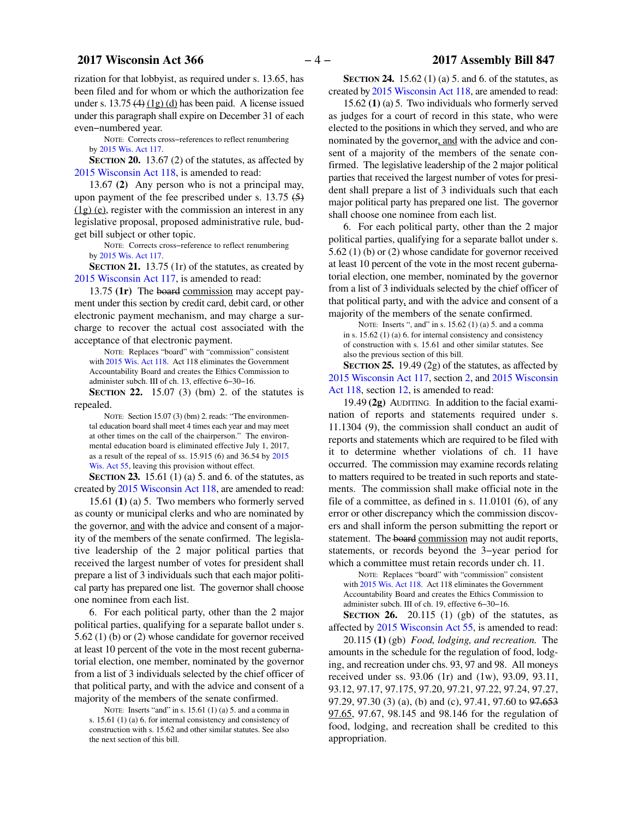rization for that lobbyist, as required under s. 13.65, has been filed and for whom or which the authorization fee under s.  $13.75 \left(4\right) \left(1\right)$  (d) has been paid. A license issued under this paragraph shall expire on December 31 of each even−numbered year.

NOTE: Corrects cross−references to reflect renumbering by [2015 Wis. Act 117](https://docs.legis.wisconsin.gov/document/acts/2015/117).

**SECTION 20.** 13.67 (2) of the statutes, as affected by [2015 Wisconsin Act 118](https://docs.legis.wisconsin.gov/document/acts/2015/118), is amended to read:

13.67 **(2)** Any person who is not a principal may, upon payment of the fee prescribed under s.  $13.75 \left( 5 \right)$ (1g) (e), register with the commission an interest in any legislative proposal, proposed administrative rule, budget bill subject or other topic.

NOTE: Corrects cross−reference to reflect renumbering by [2015 Wis. Act 117](https://docs.legis.wisconsin.gov/document/acts/2015/117).

**SECTION 21.** 13.75 (1r) of the statutes, as created by [2015 Wisconsin Act 117](https://docs.legis.wisconsin.gov/document/acts/2015/117), is amended to read:

13.75 **(1r)** The board commission may accept payment under this section by credit card, debit card, or other electronic payment mechanism, and may charge a surcharge to recover the actual cost associated with the acceptance of that electronic payment.

NOTE: Replaces "board" with "commission" consistent with [2015 Wis. Act 118](https://docs.legis.wisconsin.gov/document/acts/2015/118). Act 118 eliminates the Government Accountability Board and creates the Ethics Commission to administer subch. III of ch. 13, effective 6−30−16.

**SECTION 22.** 15.07 (3) (bm) 2. of the statutes is repealed.

NOTE: Section 15.07 (3) (bm) 2. reads: "The environmental education board shall meet 4 times each year and may meet at other times on the call of the chairperson." The environmental education board is eliminated effective July 1, 2017, as a result of the repeal of ss. 15.915 (6) and 36.54 by [2015](https://docs.legis.wisconsin.gov/document/acts/2015/55) [Wis. Act 55](https://docs.legis.wisconsin.gov/document/acts/2015/55), leaving this provision without effect.

**SECTION 23.** 15.61 (1) (a) 5. and 6. of the statutes, as created by [2015 Wisconsin Act 118](https://docs.legis.wisconsin.gov/document/acts/2015/118), are amended to read:

15.61 **(1)** (a) 5. Two members who formerly served as county or municipal clerks and who are nominated by the governor, and with the advice and consent of a majority of the members of the senate confirmed. The legislative leadership of the 2 major political parties that received the largest number of votes for president shall prepare a list of 3 individuals such that each major political party has prepared one list. The governor shall choose one nominee from each list.

6. For each political party, other than the 2 major political parties, qualifying for a separate ballot under s. 5.62 (1) (b) or (2) whose candidate for governor received at least 10 percent of the vote in the most recent gubernatorial election, one member, nominated by the governor from a list of 3 individuals selected by the chief officer of that political party, and with the advice and consent of a majority of the members of the senate confirmed.

NOTE: Inserts "and" in s. 15.61 (1) (a) 5. and a comma in s. 15.61 (1) (a) 6. for internal consistency and consistency of construction with s. 15.62 and other similar statutes. See also the next section of this bill.

**SECTION 24.** 15.62 (1) (a) 5. and 6. of the statutes, as created by [2015 Wisconsin Act 118](https://docs.legis.wisconsin.gov/document/acts/2015/118), are amended to read:

15.62 **(1)** (a) 5. Two individuals who formerly served as judges for a court of record in this state, who were elected to the positions in which they served, and who are nominated by the governor, and with the advice and consent of a majority of the members of the senate confirmed. The legislative leadership of the 2 major political parties that received the largest number of votes for president shall prepare a list of 3 individuals such that each major political party has prepared one list. The governor shall choose one nominee from each list.

6. For each political party, other than the 2 major political parties, qualifying for a separate ballot under s. 5.62 (1) (b) or (2) whose candidate for governor received at least 10 percent of the vote in the most recent gubernatorial election, one member, nominated by the governor from a list of 3 individuals selected by the chief officer of that political party, and with the advice and consent of a majority of the members of the senate confirmed.

NOTE: Inserts ", and" in s. 15.62 (1) (a) 5. and a comma in s. 15.62 (1) (a) 6. for internal consistency and consistency of construction with s. 15.61 and other similar statutes. See also the previous section of this bill.

**SECTION 25.** 19.49 (2g) of the statutes, as affected by [2015 Wisconsin Act 117,](https://docs.legis.wisconsin.gov/document/acts/2015/117) section [2](https://docs.legis.wisconsin.gov/document/acts/2015/117,%20s.%202), and [2015 Wisconsin](https://docs.legis.wisconsin.gov/document/acts/2015/118) [Act 118](https://docs.legis.wisconsin.gov/document/acts/2015/118), section [12](https://docs.legis.wisconsin.gov/document/acts/2015/118,%20s.%2012), is amended to read:

19.49 **(2g)** AUDITING. In addition to the facial examination of reports and statements required under s. 11.1304 (9), the commission shall conduct an audit of reports and statements which are required to be filed with it to determine whether violations of ch. 11 have occurred. The commission may examine records relating to matters required to be treated in such reports and statements. The commission shall make official note in the file of a committee, as defined in s. 11.0101 (6), of any error or other discrepancy which the commission discovers and shall inform the person submitting the report or statement. The board commission may not audit reports, statements, or records beyond the 3−year period for which a committee must retain records under ch. 11.

NOTE: Replaces "board" with "commission" consistent with [2015 Wis. Act 118](https://docs.legis.wisconsin.gov/document/acts/2015/118). Act 118 eliminates the Government Accountability Board and creates the Ethics Commission to administer subch. III of ch. 19, effective 6−30−16.

**SECTION 26.** 20.115 (1) (gb) of the statutes, as affected by [2015 Wisconsin Act 55,](https://docs.legis.wisconsin.gov/document/acts/2015/55) is amended to read:

20.115 **(1)** (gb) *Food, lodging, and recreation.* The amounts in the schedule for the regulation of food, lodging, and recreation under chs. 93, 97 and 98. All moneys received under ss. 93.06 (1r) and (1w), 93.09, 93.11, 93.12, 97.17, 97.175, 97.20, 97.21, 97.22, 97.24, 97.27, 97.29, 97.30 (3) (a), (b) and (c), 97.41, 97.60 to 97.653 97.65, 97.67, 98.145 and 98.146 for the regulation of food, lodging, and recreation shall be credited to this appropriation.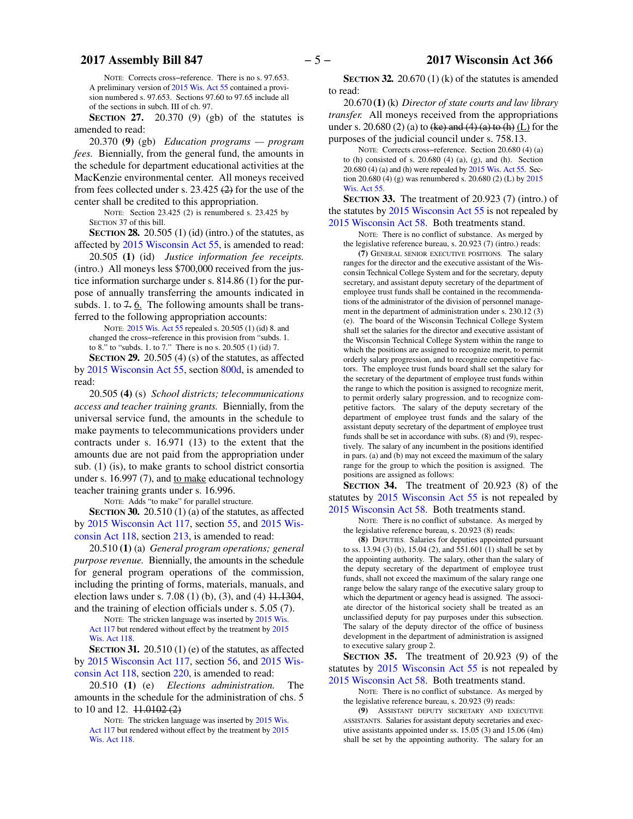NOTE: Corrects cross−reference. There is no s. 97.653. A preliminary version of [2015 Wis. Act 55](https://docs.legis.wisconsin.gov/document/acts/2015/55) contained a provision numbered s. 97.653. Sections 97.60 to 97.65 include all of the sections in subch. III of ch. 97.

**SECTION 27.** 20.370 (9) (gb) of the statutes is amended to read:

20.370 **(9)** (gb) *Education programs — program fees.* Biennially, from the general fund, the amounts in the schedule for department educational activities at the MacKenzie environmental center. All moneys received from fees collected under s. 23.425 (2) for the use of the center shall be credited to this appropriation.

NOTE: Section 23.425 (2) is renumbered s. 23.425 by SECTION [37](#page-5-0) of this bill.

**SECTION 28.** 20.505 (1) (id) (intro.) of the statutes, as affected by [2015 Wisconsin Act 55,](https://docs.legis.wisconsin.gov/document/acts/2015/55) is amended to read:

20.505 **(1)** (id) *Justice information fee receipts.* (intro.) All moneys less \$700,000 received from the justice information surcharge under s. 814.86 (1) for the purpose of annually transferring the amounts indicated in subds. 1. to  $7.6$ . The following amounts shall be transferred to the following appropriation accounts:

NOTE: [2015 Wis. Act 55](https://docs.legis.wisconsin.gov/document/acts/2015/55) repealed s. 20.505 (1) (id) 8. and changed the cross−reference in this provision from "subds. 1. to 8." to "subds. 1. to 7." There is no s. 20.505 (1) (id) 7.

**SECTION 29.** 20.505 (4) (s) of the statutes, as affected by [2015 Wisconsin Act 55,](https://docs.legis.wisconsin.gov/document/acts/2015/55) section [800d,](https://docs.legis.wisconsin.gov/document/acts/2015/55,%20s.%20800d) is amended to read:

20.505 **(4)** (s) *School districts; telecommunications access and teacher training grants.* Biennially, from the universal service fund, the amounts in the schedule to make payments to telecommunications providers under contracts under s. 16.971 (13) to the extent that the amounts due are not paid from the appropriation under sub. (1) (is), to make grants to school district consortia under s. 16.997 (7), and to make educational technology teacher training grants under s. 16.996.

NOTE: Adds "to make" for parallel structure.

**SECTION 30.** 20.510 (1) (a) of the statutes, as affected by [2015 Wisconsin Act 117,](https://docs.legis.wisconsin.gov/document/acts/2015/117) section [55,](https://docs.legis.wisconsin.gov/document/acts/2015/117,%20s.%2055) and [2015 Wis](https://docs.legis.wisconsin.gov/document/acts/2015/118)[consin Act 118,](https://docs.legis.wisconsin.gov/document/acts/2015/118) section [213,](https://docs.legis.wisconsin.gov/document/acts/2015/118,%20s.%20213) is amended to read:

20.510 **(1)** (a) *General program operations; general purpose revenue.* Biennially, the amounts in the schedule for general program operations of the commission, including the printing of forms, materials, manuals, and election laws under s. 7.08 (1) (b), (3), and (4) 11.1304, and the training of election officials under s. 5.05 (7).

NOTE: The stricken language was inserted by [2015 Wis.](https://docs.legis.wisconsin.gov/document/acts/2015/117) [Act 117](https://docs.legis.wisconsin.gov/document/acts/2015/117) but rendered without effect by the treatment by [2015](https://docs.legis.wisconsin.gov/document/acts/2015/118) [Wis. Act 118](https://docs.legis.wisconsin.gov/document/acts/2015/118).

**SECTION 31.** 20.510 (1) (e) of the statutes, as affected by [2015 Wisconsin Act 117,](https://docs.legis.wisconsin.gov/document/acts/2015/117) section [56,](https://docs.legis.wisconsin.gov/document/acts/2015/117,%20s.%2056) and [2015 Wis](https://docs.legis.wisconsin.gov/document/acts/2015/118)[consin Act 118,](https://docs.legis.wisconsin.gov/document/acts/2015/118) section [220,](https://docs.legis.wisconsin.gov/document/acts/2015/118,%20s.%20220) is amended to read:

20.510 **(1)** (e) *Elections administration.* The amounts in the schedule for the administration of chs. 5 to 10 and 12.  $\text{\textsterling}1.0102\text{\textsterling}2)$ 

NOTE: The stricken language was inserted by [2015 Wis.](https://docs.legis.wisconsin.gov/document/acts/2015/117) [Act 117](https://docs.legis.wisconsin.gov/document/acts/2015/117) but rendered without effect by the treatment by [2015](https://docs.legis.wisconsin.gov/document/acts/2015/118) [Wis. Act 118](https://docs.legis.wisconsin.gov/document/acts/2015/118).

**SECTION** 32. 20.670 (1) (k) of the statutes is amended to read:

20.670 **(1)** (k) *Director of state courts and law library transfer.* All moneys received from the appropriations under s. 20.680 (2) (a) to  $(ke)$  and  $(4)$   $(a)$  to  $(h)$   $(L)$  for the purposes of the judicial council under s. 758.13.

NOTE: Corrects cross−reference. Section 20.680 (4) (a) to (h) consisted of s. 20.680 (4) (a), (g), and (h). Section 20.680 (4) (a) and (h) were repealed by [2015 Wis. Act 55](https://docs.legis.wisconsin.gov/document/acts/2015/55). Section 20.680 (4) (g) was renumbered s. 20.680 (2) (L) by [2015](https://docs.legis.wisconsin.gov/document/acts/2015/55) [Wis. Act 55](https://docs.legis.wisconsin.gov/document/acts/2015/55).

**SECTION 33.** The treatment of 20.923 (7) (intro.) of the statutes by [2015 Wisconsin Act 55](https://docs.legis.wisconsin.gov/document/acts/2015/55) is not repealed by [2015 Wisconsin Act 58](https://docs.legis.wisconsin.gov/document/acts/2015/58). Both treatments stand.

NOTE: There is no conflict of substance. As merged by the legislative reference bureau, s. 20.923 (7) (intro.) reads:

**(7)** GENERAL SENIOR EXECUTIVE POSITIONS. The salary ranges for the director and the executive assistant of the Wisconsin Technical College System and for the secretary, deputy secretary, and assistant deputy secretary of the department of employee trust funds shall be contained in the recommendations of the administrator of the division of personnel management in the department of administration under s. 230.12 (3) (e). The board of the Wisconsin Technical College System shall set the salaries for the director and executive assistant of the Wisconsin Technical College System within the range to which the positions are assigned to recognize merit, to permit orderly salary progression, and to recognize competitive factors. The employee trust funds board shall set the salary for the secretary of the department of employee trust funds within the range to which the position is assigned to recognize merit, to permit orderly salary progression, and to recognize competitive factors. The salary of the deputy secretary of the department of employee trust funds and the salary of the assistant deputy secretary of the department of employee trust funds shall be set in accordance with subs. (8) and (9), respectively. The salary of any incumbent in the positions identified in pars. (a) and (b) may not exceed the maximum of the salary range for the group to which the position is assigned. The positions are assigned as follows:

**SECTION 34.** The treatment of 20.923 (8) of the statutes by [2015 Wisconsin Act 55](https://docs.legis.wisconsin.gov/document/acts/2015/55) is not repealed by [2015 Wisconsin Act 58](https://docs.legis.wisconsin.gov/document/acts/2015/58). Both treatments stand.

NOTE: There is no conflict of substance. As merged by the legislative reference bureau, s. 20.923 (8) reads:

**(8)** DEPUTIES. Salaries for deputies appointed pursuant to ss. 13.94 (3) (b), 15.04 (2), and 551.601 (1) shall be set by the appointing authority. The salary, other than the salary of the deputy secretary of the department of employee trust funds, shall not exceed the maximum of the salary range one range below the salary range of the executive salary group to which the department or agency head is assigned. The associate director of the historical society shall be treated as an unclassified deputy for pay purposes under this subsection. The salary of the deputy director of the office of business development in the department of administration is assigned to executive salary group 2.

**SECTION 35.** The treatment of 20.923 (9) of the statutes by [2015 Wisconsin Act 55](https://docs.legis.wisconsin.gov/document/acts/2015/55) is not repealed by [2015 Wisconsin Act 58](https://docs.legis.wisconsin.gov/document/acts/2015/58). Both treatments stand.

NOTE: There is no conflict of substance. As merged by the legislative reference bureau, s. 20.923 (9) reads:

**(9)** ASSISTANT DEPUTY SECRETARY AND EXECUTIVE ASSISTANTS. Salaries for assistant deputy secretaries and executive assistants appointed under ss. 15.05 (3) and 15.06 (4m) shall be set by the appointing authority. The salary for an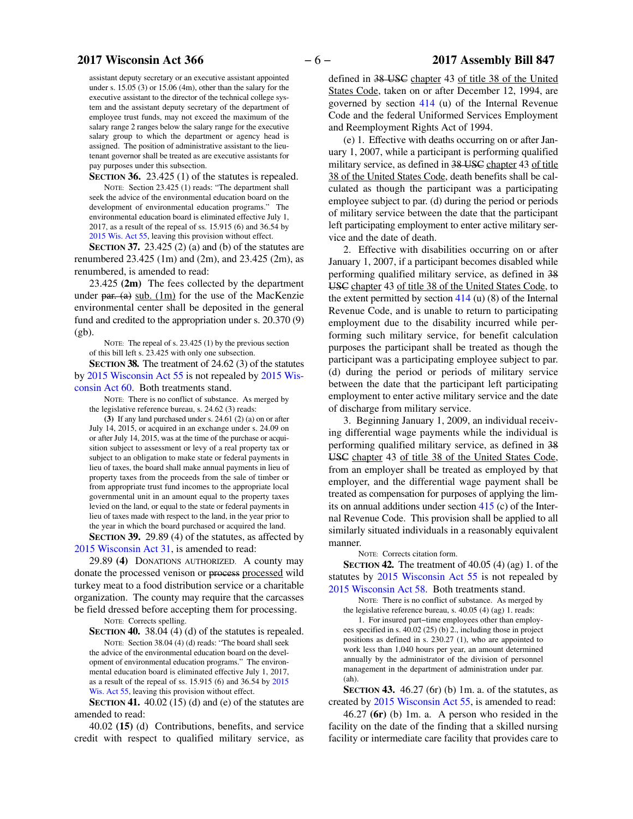### <span id="page-5-0"></span>**2017 Wisconsin Act 366** − 6 − 2017 Assembly Bill 847

assistant deputy secretary or an executive assistant appointed under s. 15.05 (3) or 15.06 (4m), other than the salary for the executive assistant to the director of the technical college system and the assistant deputy secretary of the department of employee trust funds, may not exceed the maximum of the salary range 2 ranges below the salary range for the executive salary group to which the department or agency head is assigned. The position of administrative assistant to the lieutenant governor shall be treated as are executive assistants for pay purposes under this subsection.

**SECTION 36.** 23.425 (1) of the statutes is repealed. NOTE: Section 23.425 (1) reads: "The department shall seek the advice of the environmental education board on the development of environmental education programs." The environmental education board is eliminated effective July 1, 2017, as a result of the repeal of ss. 15.915 (6) and 36.54 by [2015 Wis. Act 55,](https://docs.legis.wisconsin.gov/document/acts/2015/55) leaving this provision without effect.

**SECTION 37.** 23.425 (2) (a) and (b) of the statutes are renumbered 23.425 (1m) and (2m), and 23.425 (2m), as renumbered, is amended to read:

23.425 **(2m)** The fees collected by the department under par. (a) sub.  $(1m)$  for the use of the MacKenzie environmental center shall be deposited in the general fund and credited to the appropriation under s. 20.370 (9)  $(gb)$ .

NOTE: The repeal of s. 23.425 (1) by the previous section of this bill left s. 23.425 with only one subsection.

**SECTION 38.** The treatment of 24.62 (3) of the statutes by [2015 Wisconsin Act 55](https://docs.legis.wisconsin.gov/document/acts/2015/55) is not repealed by [2015 Wis](https://docs.legis.wisconsin.gov/document/acts/2015/60)[consin Act 60](https://docs.legis.wisconsin.gov/document/acts/2015/60). Both treatments stand.

NOTE: There is no conflict of substance. As merged by the legislative reference bureau, s. 24.62 (3) reads:

**(3)** If any land purchased under s. 24.61 (2) (a) on or after July 14, 2015, or acquired in an exchange under s. 24.09 on or after July 14, 2015, was at the time of the purchase or acquisition subject to assessment or levy of a real property tax or subject to an obligation to make state or federal payments in lieu of taxes, the board shall make annual payments in lieu of property taxes from the proceeds from the sale of timber or from appropriate trust fund incomes to the appropriate local governmental unit in an amount equal to the property taxes levied on the land, or equal to the state or federal payments in lieu of taxes made with respect to the land, in the year prior to the year in which the board purchased or acquired the land.

**SECTION 39.** 29.89 (4) of the statutes, as affected by [2015 Wisconsin Act 31](https://docs.legis.wisconsin.gov/document/acts/2015/31), is amended to read:

29.89 **(4)** DONATIONS AUTHORIZED. A county may donate the processed venison or process processed wild turkey meat to a food distribution service or a charitable organization. The county may require that the carcasses be field dressed before accepting them for processing.

NOTE: Corrects spelling.

**SECTION 40.** 38.04 (4) (d) of the statutes is repealed. NOTE: Section 38.04 (4) (d) reads: "The board shall seek the advice of the environmental education board on the development of environmental education programs." The environmental education board is eliminated effective July 1, 2017, as a result of the repeal of ss. 15.915 (6) and 36.54 by [2015](https://docs.legis.wisconsin.gov/document/acts/2015/55) [Wis. Act 55](https://docs.legis.wisconsin.gov/document/acts/2015/55), leaving this provision without effect.

**SECTION 41.** 40.02 (15) (d) and (e) of the statutes are amended to read:

40.02 **(15)** (d) Contributions, benefits, and service credit with respect to qualified military service, as

defined in 38 USC chapter 43 of title 38 of the United States Code, taken on or after December 12, 1994, are governed by section [414](https://docs.legis.wisconsin.gov/document/usc/26%20USC%20414) (u) of the Internal Revenue Code and the federal Uniformed Services Employment and Reemployment Rights Act of 1994.

(e) 1. Effective with deaths occurring on or after January 1, 2007, while a participant is performing qualified military service, as defined in 38 USC chapter 43 of title 38 of the United States Code, death benefits shall be calculated as though the participant was a participating employee subject to par. (d) during the period or periods of military service between the date that the participant left participating employment to enter active military service and the date of death.

2. Effective with disabilities occurring on or after January 1, 2007, if a participant becomes disabled while performing qualified military service, as defined in 38 USC chapter 43 of title 38 of the United States Code, to the extent permitted by section  $414$  (u) (8) of the Internal Revenue Code, and is unable to return to participating employment due to the disability incurred while performing such military service, for benefit calculation purposes the participant shall be treated as though the participant was a participating employee subject to par. (d) during the period or periods of military service between the date that the participant left participating employment to enter active military service and the date of discharge from military service.

3. Beginning January 1, 2009, an individual receiving differential wage payments while the individual is performing qualified military service, as defined in 38 USC chapter 43 of title 38 of the United States Code, from an employer shall be treated as employed by that employer, and the differential wage payment shall be treated as compensation for purposes of applying the limits on annual additions under section [415](https://docs.legis.wisconsin.gov/document/usc/26%20USC%20415) (c) of the Internal Revenue Code. This provision shall be applied to all similarly situated individuals in a reasonably equivalent manner.

NOTE: Corrects citation form.

**SECTION 42.** The treatment of 40.05 (4) (ag) 1. of the statutes by [2015 Wisconsin Act 55](https://docs.legis.wisconsin.gov/document/acts/2015/55) is not repealed by [2015 Wisconsin Act 58](https://docs.legis.wisconsin.gov/document/acts/2015/58). Both treatments stand.

NOTE: There is no conflict of substance. As merged by the legislative reference bureau, s. 40.05 (4) (ag) 1. reads:

1. For insured part−time employees other than employees specified in s. 40.02 (25) (b) 2., including those in project positions as defined in s. 230.27 (1), who are appointed to work less than 1,040 hours per year, an amount determined annually by the administrator of the division of personnel management in the department of administration under par. (ah).

**SECTION 43.** 46.27 (6r) (b) 1m. a. of the statutes, as created by [2015 Wisconsin Act 55](https://docs.legis.wisconsin.gov/document/acts/2015/55), is amended to read:

46.27 **(6r)** (b) 1m. a. A person who resided in the facility on the date of the finding that a skilled nursing facility or intermediate care facility that provides care to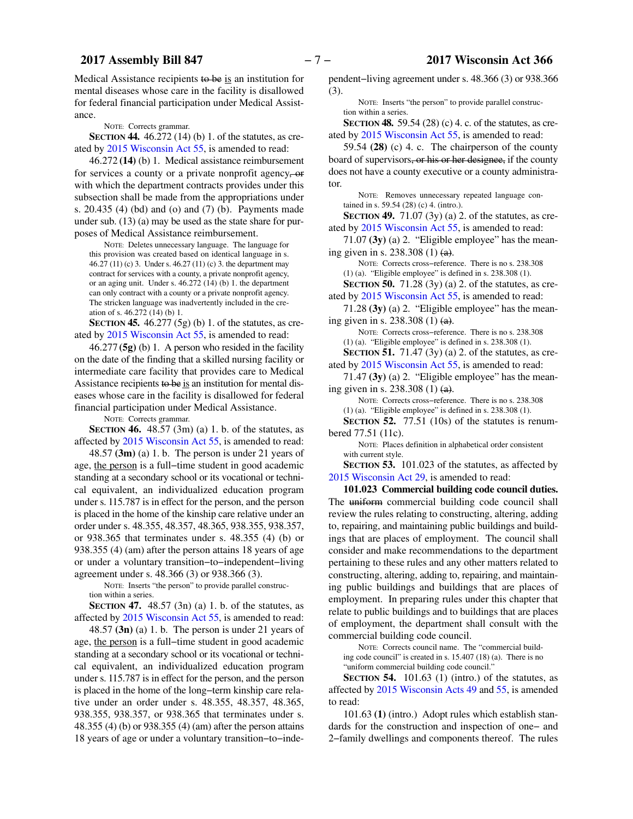Medical Assistance recipients to be is an institution for mental diseases whose care in the facility is disallowed for federal financial participation under Medical Assistance.

NOTE: Corrects grammar.

**SECTION 44.** 46.272 (14) (b) 1. of the statutes, as created by [2015 Wisconsin Act 55](https://docs.legis.wisconsin.gov/document/acts/2015/55), is amended to read:

46.272 **(14)** (b) 1. Medical assistance reimbursement for services a county or a private nonprofit agency, or with which the department contracts provides under this subsection shall be made from the appropriations under s. 20.435 (4) (bd) and (o) and (7) (b). Payments made under sub. (13) (a) may be used as the state share for purposes of Medical Assistance reimbursement.

NOTE: Deletes unnecessary language. The language for this provision was created based on identical language in s. 46.27 (11) (c) 3. Under s. 46.27 (11) (c) 3. the department may contract for services with a county, a private nonprofit agency, or an aging unit. Under s. 46.272 (14) (b) 1. the department can only contract with a county or a private nonprofit agency. The stricken language was inadvertently included in the creation of s. 46.272 (14) (b) 1.

**SECTION 45.** 46.277 (5g) (b) 1. of the statutes, as created by [2015 Wisconsin Act 55](https://docs.legis.wisconsin.gov/document/acts/2015/55), is amended to read:

46.277 **(5g)** (b) 1. A person who resided in the facility on the date of the finding that a skilled nursing facility or intermediate care facility that provides care to Medical Assistance recipients to be is an institution for mental diseases whose care in the facility is disallowed for federal financial participation under Medical Assistance.

NOTE: Corrects grammar.

**SECTION 46.** 48.57 (3m) (a) 1. b. of the statutes, as affected by [2015 Wisconsin Act 55,](https://docs.legis.wisconsin.gov/document/acts/2015/55) is amended to read:

48.57 **(3m)** (a) 1. b. The person is under 21 years of age, the person is a full−time student in good academic standing at a secondary school or its vocational or technical equivalent, an individualized education program under s. 115.787 is in effect for the person, and the person is placed in the home of the kinship care relative under an order under s. 48.355, 48.357, 48.365, 938.355, 938.357, or 938.365 that terminates under s. 48.355 (4) (b) or 938.355 (4) (am) after the person attains 18 years of age or under a voluntary transition−to−independent−living agreement under s. 48.366 (3) or 938.366 (3).

NOTE: Inserts "the person" to provide parallel construction within a series.

**SECTION 47.** 48.57 (3n) (a) 1. b. of the statutes, as affected by [2015 Wisconsin Act 55,](https://docs.legis.wisconsin.gov/document/acts/2015/55) is amended to read:

48.57 **(3n)** (a) 1. b. The person is under 21 years of age, the person is a full−time student in good academic standing at a secondary school or its vocational or technical equivalent, an individualized education program under s. 115.787 is in effect for the person, and the person is placed in the home of the long−term kinship care relative under an order under s. 48.355, 48.357, 48.365, 938.355, 938.357, or 938.365 that terminates under s. 48.355 (4) (b) or 938.355 (4) (am) after the person attains 18 years of age or under a voluntary transition−to−independent−living agreement under s. 48.366 (3) or 938.366 (3).

NOTE: Inserts "the person" to provide parallel construction within a series.

**SECTION 48.** 59.54 (28) (c) 4. c. of the statutes, as created by [2015 Wisconsin Act 55,](https://docs.legis.wisconsin.gov/document/acts/2015/55) is amended to read:

59.54 **(28)** (c) 4. c. The chairperson of the county board of supervisors, or his or her designee, if the county does not have a county executive or a county administrator.

NOTE: Removes unnecessary repeated language contained in s. 59.54 (28) (c) 4. (intro.).

**SECTION 49.** 71.07 (3y) (a) 2. of the statutes, as created by [2015 Wisconsin Act 55,](https://docs.legis.wisconsin.gov/document/acts/2015/55) is amended to read:

71.07 **(3y)** (a) 2. "Eligible employee" has the meaning given in s.  $238.308(1)$  (a).

NOTE: Corrects cross−reference. There is no s. 238.308 (1) (a). "Eligible employee" is defined in s. 238.308 (1). **SECTION 50.** 71.28 (3y) (a) 2. of the statutes, as cre-

ated by [2015 Wisconsin Act 55,](https://docs.legis.wisconsin.gov/document/acts/2015/55) is amended to read:

71.28 **(3y)** (a) 2. "Eligible employee" has the meaning given in s. 238.308 (1) (a).

NOTE: Corrects cross−reference. There is no s. 238.308 (1) (a). "Eligible employee" is defined in s. 238.308 (1). **SECTION 51.** 71.47 (3y) (a) 2. of the statutes, as cre-

ated by [2015 Wisconsin Act 55,](https://docs.legis.wisconsin.gov/document/acts/2015/55) is amended to read:

71.47 **(3y)** (a) 2. "Eligible employee" has the meaning given in s. 238.308 (1)  $(a)$ .

NOTE: Corrects cross−reference. There is no s. 238.308 (1) (a). "Eligible employee" is defined in s. 238.308 (1). **SECTION 52.** 77.51 (10s) of the statutes is renum-

bered 77.51 (11c).

NOTE: Places definition in alphabetical order consistent with current style.

**SECTION 53.** 101.023 of the statutes, as affected by [2015 Wisconsin Act 29](https://docs.legis.wisconsin.gov/document/acts/2015/29), is amended to read:

**101.023 Commercial building code council duties.** The uniform commercial building code council shall review the rules relating to constructing, altering, adding to, repairing, and maintaining public buildings and buildings that are places of employment. The council shall consider and make recommendations to the department pertaining to these rules and any other matters related to constructing, altering, adding to, repairing, and maintaining public buildings and buildings that are places of employment. In preparing rules under this chapter that relate to public buildings and to buildings that are places of employment, the department shall consult with the commercial building code council.

NOTE: Corrects council name. The "commercial building code council" is created in s. 15.407 (18) (a). There is no "uniform commercial building code council."

**SECTION 54.** 101.63 (1) (intro.) of the statutes, as affected by [2015 Wisconsin Acts 49](https://docs.legis.wisconsin.gov/document/acts/2015/49) and [55](https://docs.legis.wisconsin.gov/document/acts/2015/55), is amended to read:

101.63 **(1)** (intro.) Adopt rules which establish standards for the construction and inspection of one− and 2−family dwellings and components thereof. The rules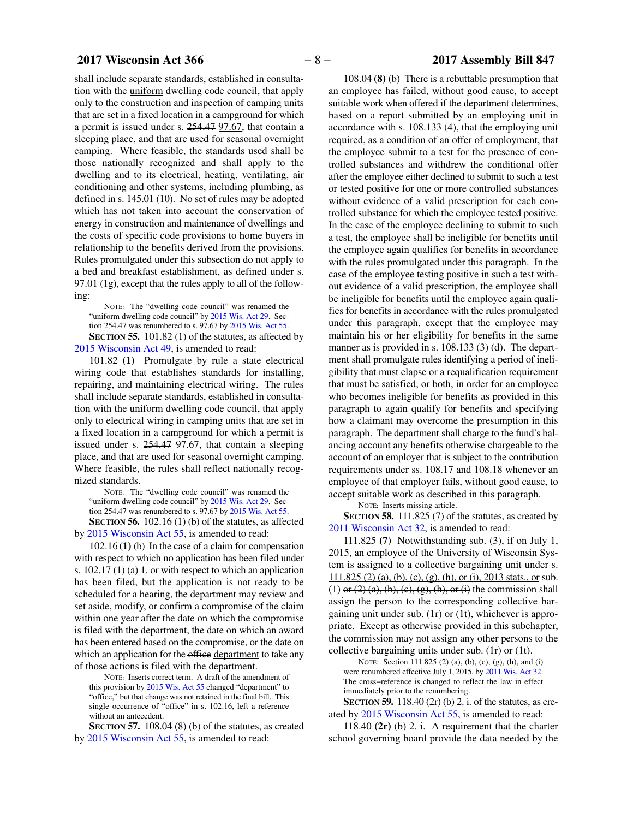### **2017 Wisconsin Act 366** − 8 − 2017 Assembly Bill 847

shall include separate standards, established in consultation with the uniform dwelling code council, that apply only to the construction and inspection of camping units that are set in a fixed location in a campground for which a permit is issued under s. 254.47 97.67, that contain a sleeping place, and that are used for seasonal overnight camping. Where feasible, the standards used shall be those nationally recognized and shall apply to the dwelling and to its electrical, heating, ventilating, air conditioning and other systems, including plumbing, as defined in s. 145.01 (10). No set of rules may be adopted which has not taken into account the conservation of energy in construction and maintenance of dwellings and the costs of specific code provisions to home buyers in relationship to the benefits derived from the provisions. Rules promulgated under this subsection do not apply to a bed and breakfast establishment, as defined under s. 97.01 (1g), except that the rules apply to all of the following:

NOTE: The "dwelling code council" was renamed the "uniform dwelling code council" by [2015 Wis. Act 29.](https://docs.legis.wisconsin.gov/document/acts/2015/29) Section 254.47 was renumbered to s. 97.67 by [2015 Wis. Act 55.](https://docs.legis.wisconsin.gov/document/acts/2015/55) **SECTION 55.** 101.82 (1) of the statutes, as affected by

[2015 Wisconsin Act 49](https://docs.legis.wisconsin.gov/document/acts/2015/49), is amended to read: 101.82 **(1)** Promulgate by rule a state electrical wiring code that establishes standards for installing, repairing, and maintaining electrical wiring. The rules shall include separate standards, established in consultation with the uniform dwelling code council, that apply only to electrical wiring in camping units that are set in a fixed location in a campground for which a permit is issued under s. 254.47 97.67, that contain a sleeping place, and that are used for seasonal overnight camping. Where feasible, the rules shall reflect nationally recognized standards.

NOTE: The "dwelling code council" was renamed the "uniform dwelling code council" by [2015 Wis. Act 29.](https://docs.legis.wisconsin.gov/document/acts/2015/29) Section 254.47 was renumbered to s. 97.67 by [2015 Wis. Act 55.](https://docs.legis.wisconsin.gov/document/acts/2015/55)

**SECTION 56.** 102.16 (1) (b) of the statutes, as affected by [2015 Wisconsin Act 55,](https://docs.legis.wisconsin.gov/document/acts/2015/55) is amended to read:

102.16 **(1)** (b) In the case of a claim for compensation with respect to which no application has been filed under s. 102.17 (1) (a) 1. or with respect to which an application has been filed, but the application is not ready to be scheduled for a hearing, the department may review and set aside, modify, or confirm a compromise of the claim within one year after the date on which the compromise is filed with the department, the date on which an award has been entered based on the compromise, or the date on which an application for the office department to take any of those actions is filed with the department.

NOTE: Inserts correct term. A draft of the amendment of this provision by [2015 Wis. Act 55](https://docs.legis.wisconsin.gov/document/acts/2015/55) changed "department" to "office," but that change was not retained in the final bill. This single occurrence of "office" in s. 102.16, left a reference without an antecedent.

**SECTION 57.** 108.04 (8) (b) of the statutes, as created by [2015 Wisconsin Act 55,](https://docs.legis.wisconsin.gov/document/acts/2015/55) is amended to read:

108.04 **(8)** (b) There is a rebuttable presumption that an employee has failed, without good cause, to accept suitable work when offered if the department determines, based on a report submitted by an employing unit in accordance with s. 108.133 (4), that the employing unit required, as a condition of an offer of employment, that the employee submit to a test for the presence of controlled substances and withdrew the conditional offer after the employee either declined to submit to such a test or tested positive for one or more controlled substances without evidence of a valid prescription for each controlled substance for which the employee tested positive. In the case of the employee declining to submit to such a test, the employee shall be ineligible for benefits until the employee again qualifies for benefits in accordance with the rules promulgated under this paragraph. In the case of the employee testing positive in such a test without evidence of a valid prescription, the employee shall be ineligible for benefits until the employee again qualifies for benefits in accordance with the rules promulgated under this paragraph, except that the employee may maintain his or her eligibility for benefits in the same manner as is provided in s. 108.133 (3) (d). The department shall promulgate rules identifying a period of ineligibility that must elapse or a requalification requirement that must be satisfied, or both, in order for an employee who becomes ineligible for benefits as provided in this paragraph to again qualify for benefits and specifying how a claimant may overcome the presumption in this paragraph. The department shall charge to the fund's balancing account any benefits otherwise chargeable to the account of an employer that is subject to the contribution requirements under ss. 108.17 and 108.18 whenever an employee of that employer fails, without good cause, to accept suitable work as described in this paragraph.

NOTE: Inserts missing article.

**SECTION 58.** 111.825 (7) of the statutes, as created by [2011 Wisconsin Act 32](https://docs.legis.wisconsin.gov/document/acts/2011/32), is amended to read:

111.825 **(7)** Notwithstanding sub. (3), if on July 1, 2015, an employee of the University of Wisconsin System is assigned to a collective bargaining unit under s. 111.825 (2) (a), (b), (c), (g), (h), or (i), 2013 stats., or sub.  $(1)$  or  $(2)$   $(a)$ ,  $(b)$ ,  $(c)$ ,  $(g)$ ,  $(h)$ , or  $(i)$  the commission shall assign the person to the corresponding collective bargaining unit under sub. (1r) or (1t), whichever is appropriate. Except as otherwise provided in this subchapter, the commission may not assign any other persons to the collective bargaining units under sub. (1r) or (1t).

NOTE: Section 111.825 (2) (a), (b), (c), (g), (h), and (i) were renumbered effective July 1, 2015, by [2011 Wis. Act 32.](https://docs.legis.wisconsin.gov/document/acts/2011/32) The cross−reference is changed to reflect the law in effect immediately prior to the renumbering.

**SECTION 59.** 118.40 (2r) (b) 2. i. of the statutes, as created by [2015 Wisconsin Act 55,](https://docs.legis.wisconsin.gov/document/acts/2015/55) is amended to read:

118.40 **(2r)** (b) 2. i. A requirement that the charter school governing board provide the data needed by the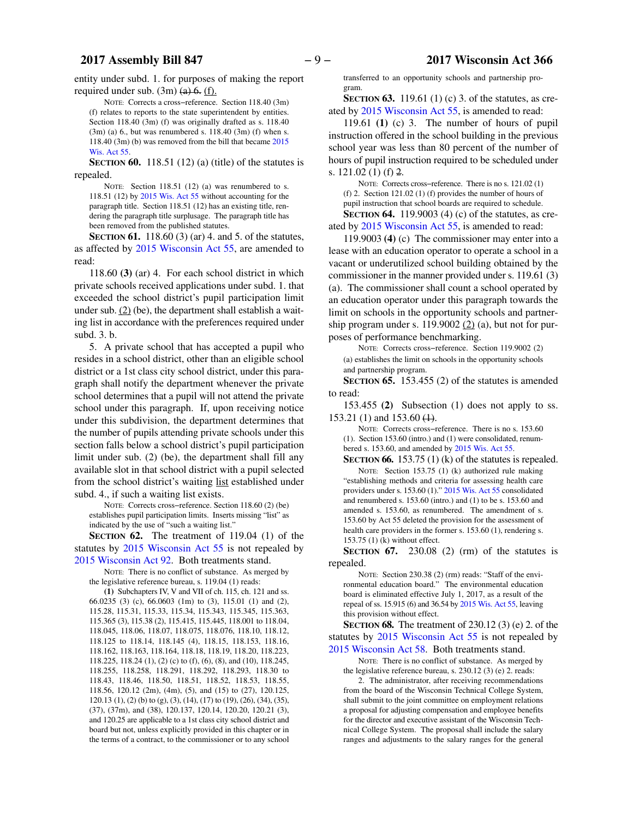#### **2017 Assembly Bill 847** − 9 − **2017 Wisconsin Act 366**

entity under subd. 1. for purposes of making the report required under sub.  $(3m)$   $(a)$   $6$ .  $(f)$ .

NOTE: Corrects a cross−reference. Section 118.40 (3m) (f) relates to reports to the state superintendent by entities. Section 118.40 (3m) (f) was originally drafted as s. 118.40  $(3m)$  (a) 6., but was renumbered s. 118.40  $(3m)$  (f) when s. 118.40 (3m) (b) was removed from the bill that became [2015](https://docs.legis.wisconsin.gov/document/acts/2015/55) [Wis. Act 55](https://docs.legis.wisconsin.gov/document/acts/2015/55).

**SECTION 60.** 118.51 (12) (a) (title) of the statutes is repealed.

NOTE: Section 118.51 (12) (a) was renumbered to s. 118.51 (12) by [2015 Wis. Act 55](https://docs.legis.wisconsin.gov/document/acts/2015/55) without accounting for the paragraph title. Section 118.51 (12) has an existing title, rendering the paragraph title surplusage. The paragraph title has been removed from the published statutes.

**SECTION 61.** 118.60 (3) (ar) 4. and 5. of the statutes, as affected by [2015 Wisconsin Act 55,](https://docs.legis.wisconsin.gov/document/acts/2015/55) are amended to read:

118.60 **(3)** (ar) 4. For each school district in which private schools received applications under subd. 1. that exceeded the school district's pupil participation limit under sub.  $(2)$  (be), the department shall establish a waiting list in accordance with the preferences required under subd. 3. b.

5. A private school that has accepted a pupil who resides in a school district, other than an eligible school district or a 1st class city school district, under this paragraph shall notify the department whenever the private school determines that a pupil will not attend the private school under this paragraph. If, upon receiving notice under this subdivision, the department determines that the number of pupils attending private schools under this section falls below a school district's pupil participation limit under sub. (2) (be), the department shall fill any available slot in that school district with a pupil selected from the school district's waiting list established under subd. 4., if such a waiting list exists.

NOTE: Corrects cross−reference. Section 118.60 (2) (be) establishes pupil participation limits. Inserts missing "list" as indicated by the use of "such a waiting list."

**SECTION 62.** The treatment of 119.04 (1) of the statutes by [2015 Wisconsin Act 55](https://docs.legis.wisconsin.gov/document/acts/2015/55) is not repealed by [2015 Wisconsin Act 92](https://docs.legis.wisconsin.gov/document/acts/2015/92). Both treatments stand.

NOTE: There is no conflict of substance. As merged by the legislative reference bureau, s. 119.04 (1) reads:

**(1)** Subchapters IV, V and VII of ch. 115, ch. 121 and ss. 66.0235 (3) (c), 66.0603 (1m) to (3), 115.01 (1) and (2), 115.28, 115.31, 115.33, 115.34, 115.343, 115.345, 115.363, 115.365 (3), 115.38 (2), 115.415, 115.445, 118.001 to 118.04, 118.045, 118.06, 118.07, 118.075, 118.076, 118.10, 118.12, 118.125 to 118.14, 118.145 (4), 118.15, 118.153, 118.16, 118.162, 118.163, 118.164, 118.18, 118.19, 118.20, 118.223, 118.225, 118.24 (1), (2) (c) to (f), (6), (8), and (10), 118.245, 118.255, 118.258, 118.291, 118.292, 118.293, 118.30 to 118.43, 118.46, 118.50, 118.51, 118.52, 118.53, 118.55, 118.56, 120.12 (2m), (4m), (5), and (15) to (27), 120.125, 120.13 (1), (2) (b) to (g), (3), (14), (17) to (19), (26), (34), (35), (37), (37m), and (38), 120.137, 120.14, 120.20, 120.21 (3), and 120.25 are applicable to a 1st class city school district and board but not, unless explicitly provided in this chapter or in the terms of a contract, to the commissioner or to any school

transferred to an opportunity schools and partnership program.

**SECTION 63.** 119.61 (1) (c) 3. of the statutes, as created by [2015 Wisconsin Act 55,](https://docs.legis.wisconsin.gov/document/acts/2015/55) is amended to read:

119.61 **(1)** (c) 3. The number of hours of pupil instruction offered in the school building in the previous school year was less than 80 percent of the number of hours of pupil instruction required to be scheduled under s. 121.02 (1) (f) 2.

NOTE: Corrects cross−reference. There is no s. 121.02 (1) (f) 2. Section 121.02 (1) (f) provides the number of hours of pupil instruction that school boards are required to schedule.

**SECTION 64.** 119.9003 (4) (c) of the statutes, as created by [2015 Wisconsin Act 55,](https://docs.legis.wisconsin.gov/document/acts/2015/55) is amended to read:

119.9003 **(4)** (c) The commissioner may enter into a lease with an education operator to operate a school in a vacant or underutilized school building obtained by the commissioner in the manner provided under s. 119.61 (3) (a). The commissioner shall count a school operated by an education operator under this paragraph towards the limit on schools in the opportunity schools and partnership program under s. 119.9002  $(2)$  (a), but not for purposes of performance benchmarking.

NOTE: Corrects cross−reference. Section 119.9002 (2) (a) establishes the limit on schools in the opportunity schools and partnership program.

**SECTION 65.** 153.455 (2) of the statutes is amended to read:

153.455 **(2)** Subsection (1) does not apply to ss.  $153.21(1)$  and  $153.60(4)$ .

NOTE: Corrects cross−reference. There is no s. 153.60 (1). Section 153.60 (intro.) and (1) were consolidated, renumbered s. 153.60, and amended by [2015 Wis. Act 55](https://docs.legis.wisconsin.gov/document/acts/2015/55).

**SECTION 66.** 153.75 (1) (k) of the statutes is repealed. NOTE: Section 153.75 (1) (k) authorized rule making "establishing methods and criteria for assessing health care providers under s. 153.60 (1)." [2015 Wis. Act 55](https://docs.legis.wisconsin.gov/document/acts/2015/55) consolidated and renumbered s. 153.60 (intro.) and (1) to be s. 153.60 and amended s. 153.60, as renumbered. The amendment of s. 153.60 by Act 55 deleted the provision for the assessment of health care providers in the former s. 153.60 (1), rendering s. 153.75 (1) (k) without effect.

**SECTION 67.** 230.08 (2) (rm) of the statutes is repealed.

NOTE: Section 230.38 (2) (rm) reads: "Staff of the environmental education board." The environmental education board is eliminated effective July 1, 2017, as a result of the repeal of ss. 15.915 (6) and 36.54 by [2015 Wis. Act 55,](https://docs.legis.wisconsin.gov/document/acts/2015/55) leaving this provision without effect.

**SECTION 68.** The treatment of 230.12 (3) (e) 2. of the statutes by [2015 Wisconsin Act 55](https://docs.legis.wisconsin.gov/document/acts/2015/55) is not repealed by [2015 Wisconsin Act 58](https://docs.legis.wisconsin.gov/document/acts/2015/58). Both treatments stand.

NOTE: There is no conflict of substance. As merged by the legislative reference bureau, s. 230.12 (3) (e) 2. reads:

2. The administrator, after receiving recommendations from the board of the Wisconsin Technical College System, shall submit to the joint committee on employment relations a proposal for adjusting compensation and employee benefits for the director and executive assistant of the Wisconsin Technical College System. The proposal shall include the salary ranges and adjustments to the salary ranges for the general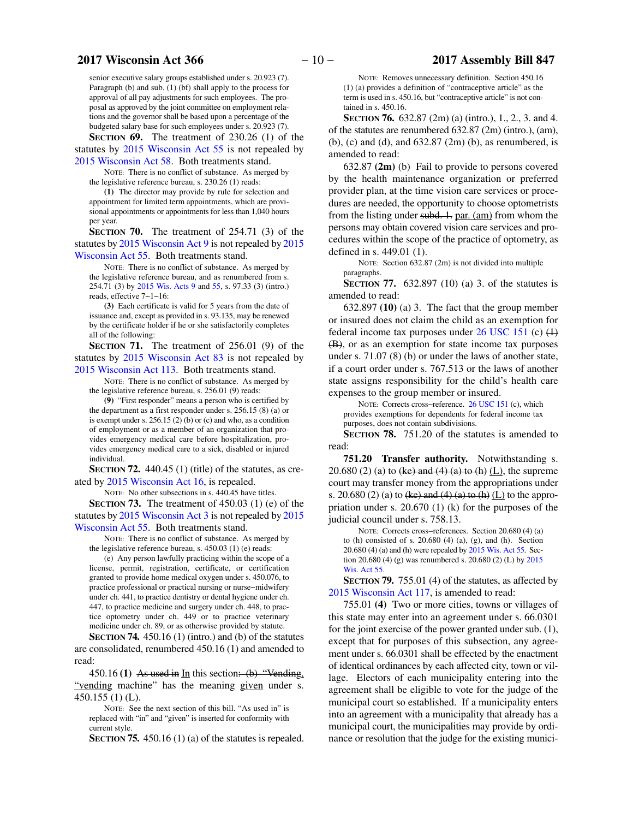senior executive salary groups established under s. 20.923 (7). Paragraph (b) and sub. (1) (bf) shall apply to the process for approval of all pay adjustments for such employees. The proposal as approved by the joint committee on employment relations and the governor shall be based upon a percentage of the budgeted salary base for such employees under s. 20.923 (7). **SECTION 69.** The treatment of 230.26 (1) of the

statutes by [2015 Wisconsin Act 55](https://docs.legis.wisconsin.gov/document/acts/2015/55) is not repealed by [2015 Wisconsin Act 58](https://docs.legis.wisconsin.gov/document/acts/2015/58). Both treatments stand.

NOTE: There is no conflict of substance. As merged by the legislative reference bureau, s. 230.26 (1) reads:

**(1)** The director may provide by rule for selection and appointment for limited term appointments, which are provisional appointments or appointments for less than 1,040 hours per year.

**SECTION 70.** The treatment of 254.71 (3) of the statutes by [2015 Wisconsin Act 9](https://docs.legis.wisconsin.gov/document/acts/2015/9) is not repealed by [2015](https://docs.legis.wisconsin.gov/document/acts/2015/55) [Wisconsin Act 55](https://docs.legis.wisconsin.gov/document/acts/2015/55). Both treatments stand.

NOTE: There is no conflict of substance. As merged by the legislative reference bureau, and as renumbered from s. 254.71 (3) by [2015 Wis. Acts 9](https://docs.legis.wisconsin.gov/document/acts/2015/9) and [55,](https://docs.legis.wisconsin.gov/document/acts/2015/55) s. 97.33 (3) (intro.) reads, effective 7−1−16:

**(3)** Each certificate is valid for 5 years from the date of issuance and, except as provided in s. 93.135, may be renewed by the certificate holder if he or she satisfactorily completes all of the following:

**SECTION 71.** The treatment of 256.01 (9) of the statutes by [2015 Wisconsin Act 83](https://docs.legis.wisconsin.gov/document/acts/2015/83) is not repealed by [2015 Wisconsin Act 113](https://docs.legis.wisconsin.gov/document/acts/2015/113). Both treatments stand.

NOTE: There is no conflict of substance. As merged by the legislative reference bureau, s. 256.01 (9) reads:

**(9)** "First responder" means a person who is certified by the department as a first responder under s. 256.15 (8) (a) or is exempt under s. 256.15 (2) (b) or (c) and who, as a condition of employment or as a member of an organization that provides emergency medical care before hospitalization, provides emergency medical care to a sick, disabled or injured individual.

**SECTION 72.** 440.45 (1) (title) of the statutes, as created by [2015 Wisconsin Act 16](https://docs.legis.wisconsin.gov/document/acts/2015/16), is repealed.

NOTE: No other subsections in s. 440.45 have titles. **SECTION 73.** The treatment of 450.03 (1) (e) of the statutes by [2015 Wisconsin Act 3](https://docs.legis.wisconsin.gov/document/acts/2015/3) is not repealed by [2015](https://docs.legis.wisconsin.gov/document/acts/2015/55)

[Wisconsin Act 55](https://docs.legis.wisconsin.gov/document/acts/2015/55). Both treatments stand.

NOTE: There is no conflict of substance. As merged by the legislative reference bureau, s. 450.03 (1) (e) reads:

(e) Any person lawfully practicing within the scope of a license, permit, registration, certificate, or certification granted to provide home medical oxygen under s. 450.076, to practice professional or practical nursing or nurse−midwifery under ch. 441, to practice dentistry or dental hygiene under ch. 447, to practice medicine and surgery under ch. 448, to practice optometry under ch. 449 or to practice veterinary medicine under ch. 89, or as otherwise provided by statute.

**SECTION 74.** 450.16 (1) (intro.) and (b) of the statutes are consolidated, renumbered 450.16 (1) and amended to read:

450.16 **(1)** As used in In this section: (b) "Vending, "vending machine" has the meaning given under s. 450.155 (1) (L).

NOTE: See the next section of this bill. "As used in" is replaced with "in" and "given" is inserted for conformity with current style.

**SECTION 75.** 450.16 (1) (a) of the statutes is repealed.

NOTE: Removes unnecessary definition. Section 450.16 (1) (a) provides a definition of "contraceptive article" as the term is used in s. 450.16, but "contraceptive article" is not contained in s. 450.16.

**SECTION 76.** 632.87 (2m) (a) (intro.), 1., 2., 3. and 4. of the statutes are renumbered 632.87 (2m) (intro.), (am), (b), (c) and (d), and 632.87 (2m) (b), as renumbered, is amended to read:

632.87 **(2m)** (b) Fail to provide to persons covered by the health maintenance organization or preferred provider plan, at the time vision care services or procedures are needed, the opportunity to choose optometrists from the listing under subd. 1. par. (am) from whom the persons may obtain covered vision care services and procedures within the scope of the practice of optometry, as defined in s. 449.01 (1).

NOTE: Section 632.87 (2m) is not divided into multiple paragraphs.

**SECTION 77.** 632.897 (10) (a) 3. of the statutes is amended to read:

632.897 **(10)** (a) 3. The fact that the group member or insured does not claim the child as an exemption for federal income tax purposes under  $26$  USC 151 (c)  $(1)$ (B), or as an exemption for state income tax purposes under s. 71.07 (8) (b) or under the laws of another state, if a court order under s. 767.513 or the laws of another state assigns responsibility for the child's health care expenses to the group member or insured.

NOTE: Corrects cross−reference. [26 USC 151](https://docs.legis.wisconsin.gov/document/usc/26%20USC%20151) (c), which provides exemptions for dependents for federal income tax purposes, does not contain subdivisions.

**SECTION 78.** 751.20 of the statutes is amended to read:

**751.20 Transfer authority.** Notwithstanding s. 20.680 (2) (a) to  $(ke)$  and  $(4)$   $(a)$  to  $(h)$   $(L)$ , the supreme court may transfer money from the appropriations under s. 20.680 (2) (a) to  $(ke)$  and  $(4)$   $(a)$  to  $(h)$   $(L)$  to the appropriation under s. 20.670 (1) (k) for the purposes of the judicial council under s. 758.13.

NOTE: Corrects cross−references. Section 20.680 (4) (a) to (h) consisted of s.  $20.680$  (4) (a), (g), and (h). Section 20.680 (4) (a) and (h) were repealed by [2015 Wis. Act 55](https://docs.legis.wisconsin.gov/document/acts/2015/55). Section 20.680 (4) (g) was renumbered s. 20.680 (2) (L) by [2015](https://docs.legis.wisconsin.gov/document/acts/2015/55) [Wis. Act 55](https://docs.legis.wisconsin.gov/document/acts/2015/55).

**SECTION 79.** 755.01 (4) of the statutes, as affected by [2015 Wisconsin Act 117](https://docs.legis.wisconsin.gov/document/acts/2015/117), is amended to read:

755.01 **(4)** Two or more cities, towns or villages of this state may enter into an agreement under s. 66.0301 for the joint exercise of the power granted under sub. (1), except that for purposes of this subsection, any agreement under s. 66.0301 shall be effected by the enactment of identical ordinances by each affected city, town or village. Electors of each municipality entering into the agreement shall be eligible to vote for the judge of the municipal court so established. If a municipality enters into an agreement with a municipality that already has a municipal court, the municipalities may provide by ordinance or resolution that the judge for the existing munici-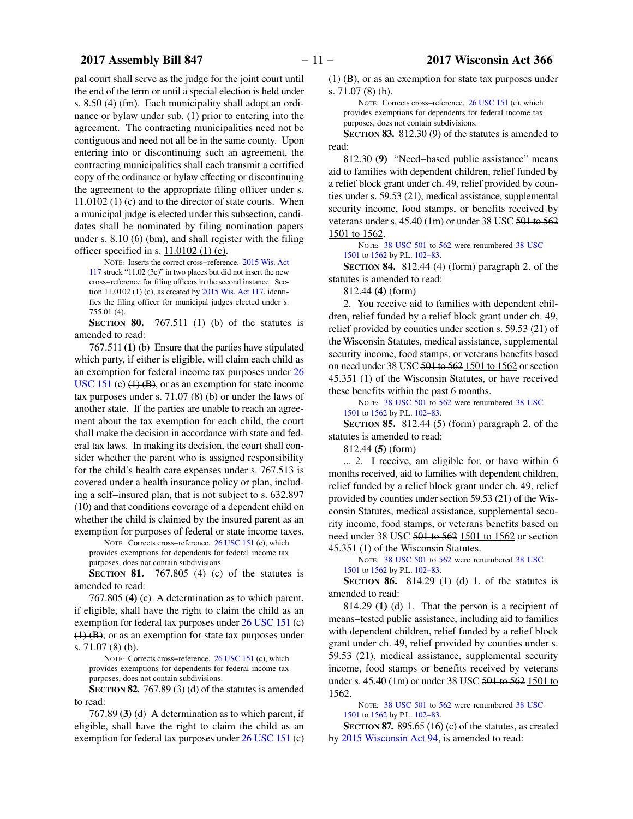pal court shall serve as the judge for the joint court until the end of the term or until a special election is held under s. 8.50 (4) (fm). Each municipality shall adopt an ordinance or bylaw under sub. (1) prior to entering into the agreement. The contracting municipalities need not be contiguous and need not all be in the same county. Upon entering into or discontinuing such an agreement, the contracting municipalities shall each transmit a certified copy of the ordinance or bylaw effecting or discontinuing the agreement to the appropriate filing officer under s. 11.0102 (1) (c) and to the director of state courts. When a municipal judge is elected under this subsection, candidates shall be nominated by filing nomination papers under s. 8.10 (6) (bm), and shall register with the filing officer specified in s.  $11.0102$  (1) (c).

NOTE: Inserts the correct cross−reference. [2015 Wis. Act](https://docs.legis.wisconsin.gov/document/acts/2015/117) [117](https://docs.legis.wisconsin.gov/document/acts/2015/117) struck "11.02 (3e)" in two places but did not insert the new cross−reference for filing officers in the second instance. Section 11.0102 (1) (c), as created by [2015 Wis. Act 117](https://docs.legis.wisconsin.gov/document/acts/2015/117), identifies the filing officer for municipal judges elected under s. 755.01 (4).

**SECTION 80.** 767.511 (1) (b) of the statutes is amended to read:

767.511 **(1)** (b) Ensure that the parties have stipulated which party, if either is eligible, will claim each child as an exemption for federal income tax purposes under [26](https://docs.legis.wisconsin.gov/document/usc/26%20USC%20151) [USC 151](https://docs.legis.wisconsin.gov/document/usc/26%20USC%20151) (c)  $(1)$  (B), or as an exemption for state income tax purposes under s. 71.07 (8) (b) or under the laws of another state. If the parties are unable to reach an agreement about the tax exemption for each child, the court shall make the decision in accordance with state and federal tax laws. In making its decision, the court shall consider whether the parent who is assigned responsibility for the child's health care expenses under s. 767.513 is covered under a health insurance policy or plan, including a self−insured plan, that is not subject to s. 632.897 (10) and that conditions coverage of a dependent child on whether the child is claimed by the insured parent as an exemption for purposes of federal or state income taxes.

NOTE: Corrects cross−reference. [26 USC 151](https://docs.legis.wisconsin.gov/document/usc/26%20USC%20151) (c), which provides exemptions for dependents for federal income tax purposes, does not contain subdivisions.

**SECTION 81.** 767.805 (4) (c) of the statutes is amended to read:

767.805 **(4)** (c) A determination as to which parent, if eligible, shall have the right to claim the child as an exemption for federal tax purposes under [26 USC 151](https://docs.legis.wisconsin.gov/document/usc/26%20USC%20151) (c)  $(1)$  (B), or as an exemption for state tax purposes under s. 71.07 (8) (b).

NOTE: Corrects cross−reference. [26 USC 151](https://docs.legis.wisconsin.gov/document/usc/26%20USC%20151) (c), which provides exemptions for dependents for federal income tax purposes, does not contain subdivisions.

**SECTION 82.** 767.89 (3) (d) of the statutes is amended to read:

767.89 **(3)** (d) A determination as to which parent, if eligible, shall have the right to claim the child as an exemption for federal tax purposes under [26 USC 151](https://docs.legis.wisconsin.gov/document/usc/26%20USC%20151) (c)

 $(1)$  (B), or as an exemption for state tax purposes under s. 71.07 (8) (b).

NOTE: Corrects cross−reference. [26 USC 151](https://docs.legis.wisconsin.gov/document/usc/26%20USC%20151) (c), which provides exemptions for dependents for federal income tax purposes, does not contain subdivisions.

**SECTION 83.** 812.30 (9) of the statutes is amended to read:

812.30 **(9)** "Need−based public assistance" means aid to families with dependent children, relief funded by a relief block grant under ch. 49, relief provided by counties under s. 59.53 (21), medical assistance, supplemental security income, food stamps, or benefits received by veterans under s. 45.40 (1m) or under 38 USC 501 to 562 1501 to 1562.

NOTE: [38 USC 501](https://docs.legis.wisconsin.gov/document/usc/38%20USC%20501) to [562](https://docs.legis.wisconsin.gov/document/usc/38%20USC%20562) were renumbered [38 USC](https://docs.legis.wisconsin.gov/document/usc/38%20USC%201501) [1501](https://docs.legis.wisconsin.gov/document/usc/38%20USC%201501) to [1562](https://docs.legis.wisconsin.gov/document/usc/38%20USC%201562) by P.L. [102−83](https://docs.legis.wisconsin.gov/document/publiclaw/102-83).

**SECTION 84.** 812.44 (4) (form) paragraph 2. of the statutes is amended to read:

812.44 **(4)** (form)

2. You receive aid to families with dependent children, relief funded by a relief block grant under ch. 49, relief provided by counties under section s. 59.53 (21) of the Wisconsin Statutes, medical assistance, supplemental security income, food stamps, or veterans benefits based on need under 38 USC 501 to 562 1501 to 1562 or section 45.351 (1) of the Wisconsin Statutes, or have received these benefits within the past 6 months.

NOTE: [38 USC 501](https://docs.legis.wisconsin.gov/document/usc/38%20USC%20501) to [562](https://docs.legis.wisconsin.gov/document/usc/38%20USC%20562) were renumbered [38 USC](https://docs.legis.wisconsin.gov/document/usc/38%20USC%201501) [1501](https://docs.legis.wisconsin.gov/document/usc/38%20USC%201501) to [1562](https://docs.legis.wisconsin.gov/document/usc/38%20USC%201562) by P.L. [102−83](https://docs.legis.wisconsin.gov/document/publiclaw/102-83).

**SECTION 85.** 812.44 (5) (form) paragraph 2. of the statutes is amended to read:

812.44 **(5)** (form)

... 2. I receive, am eligible for, or have within 6 months received, aid to families with dependent children, relief funded by a relief block grant under ch. 49, relief provided by counties under section 59.53 (21) of the Wisconsin Statutes, medical assistance, supplemental security income, food stamps, or veterans benefits based on need under 38 USC 501 to 562 1501 to 1562 or section 45.351 (1) of the Wisconsin Statutes.

NOTE: [38 USC 501](https://docs.legis.wisconsin.gov/document/usc/38%20USC%20501) to [562](https://docs.legis.wisconsin.gov/document/usc/38%20USC%20562) were renumbered [38 USC](https://docs.legis.wisconsin.gov/document/usc/38%20USC%201501) [1501](https://docs.legis.wisconsin.gov/document/usc/38%20USC%201501) to [1562](https://docs.legis.wisconsin.gov/document/usc/38%20USC%201562) by P.L. [102−83](https://docs.legis.wisconsin.gov/document/publiclaw/102-83).

**SECTION 86.** 814.29 (1) (d) 1. of the statutes is amended to read:

814.29 **(1)** (d) 1. That the person is a recipient of means−tested public assistance, including aid to families with dependent children, relief funded by a relief block grant under ch. 49, relief provided by counties under s. 59.53 (21), medical assistance, supplemental security income, food stamps or benefits received by veterans under s. 45.40 (1m) or under 38 USC 501 to 562 1501 to 1562.

NOTE: [38 USC 501](https://docs.legis.wisconsin.gov/document/usc/38%20USC%20501) to [562](https://docs.legis.wisconsin.gov/document/usc/38%20USC%20562) were renumbered [38 USC](https://docs.legis.wisconsin.gov/document/usc/38%20USC%201501) [1501](https://docs.legis.wisconsin.gov/document/usc/38%20USC%201501) to [1562](https://docs.legis.wisconsin.gov/document/usc/38%20USC%201562) by P.L. [102−83](https://docs.legis.wisconsin.gov/document/publiclaw/102-83).

**SECTION 87.** 895.65 (16) (c) of the statutes, as created by [2015 Wisconsin Act 94,](https://docs.legis.wisconsin.gov/document/acts/2015/94) is amended to read: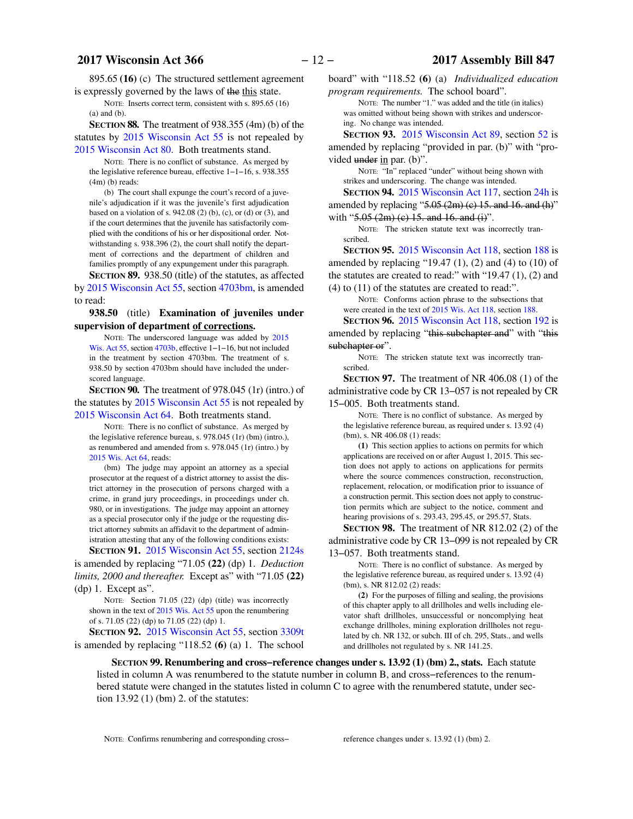895.65 **(16)** (c) The structured settlement agreement is expressly governed by the laws of the this state.

NOTE: Inserts correct term, consistent with s. 895.65 (16) (a) and (b).

**SECTION 88.** The treatment of 938.355 (4m) (b) of the statutes by [2015 Wisconsin Act 55](https://docs.legis.wisconsin.gov/document/acts/2015/55) is not repealed by [2015 Wisconsin Act 80](https://docs.legis.wisconsin.gov/document/acts/2015/80). Both treatments stand.

NOTE: There is no conflict of substance. As merged by the legislative reference bureau, effective 1−1−16, s. 938.355 (4m) (b) reads:

(b) The court shall expunge the court's record of a juvenile's adjudication if it was the juvenile's first adjudication based on a violation of s.  $942.08$  (2) (b), (c), or (d) or (3), and if the court determines that the juvenile has satisfactorily complied with the conditions of his or her dispositional order. Notwithstanding s. 938.396 (2), the court shall notify the department of corrections and the department of children and families promptly of any expungement under this paragraph. **SECTION 89.** 938.50 (title) of the statutes, as affected

by [2015 Wisconsin Act 55,](https://docs.legis.wisconsin.gov/document/acts/2015/55) section [4703bm,](https://docs.legis.wisconsin.gov/document/acts/2015/55,%20s.%204703bm) is amended to read:

**938.50** (title) **Examination of juveniles under supervision of department of corrections.**

NOTE: The underscored language was added by [2015](https://docs.legis.wisconsin.gov/document/acts/2015/55) [Wis. Act 55,](https://docs.legis.wisconsin.gov/document/acts/2015/55) section [4703b,](https://docs.legis.wisconsin.gov/document/acts/2015/55,%20s.%204703b) effective 1−1−16, but not included in the treatment by section 4703bm. The treatment of s. 938.50 by section 4703bm should have included the underscored language.

**SECTION 90.** The treatment of 978.045 (1r) (intro.) of the statutes by [2015 Wisconsin Act 55](https://docs.legis.wisconsin.gov/document/acts/2015/55) is not repealed by [2015 Wisconsin Act 64](https://docs.legis.wisconsin.gov/document/acts/2015/64). Both treatments stand.

NOTE: There is no conflict of substance. As merged by the legislative reference bureau, s. 978.045 (1r) (bm) (intro.), as renumbered and amended from s. 978.045 (1r) (intro.) by [2015 Wis. Act 64,](https://docs.legis.wisconsin.gov/document/acts/2015/64) reads:

(bm) The judge may appoint an attorney as a special prosecutor at the request of a district attorney to assist the district attorney in the prosecution of persons charged with a crime, in grand jury proceedings, in proceedings under ch. 980, or in investigations. The judge may appoint an attorney as a special prosecutor only if the judge or the requesting district attorney submits an affidavit to the department of administration attesting that any of the following conditions exists:

**SECTION 91.** [2015 Wisconsin Act 55,](https://docs.legis.wisconsin.gov/document/acts/2015/55) section [2124s](https://docs.legis.wisconsin.gov/document/acts/2015/55,%20s.%202124s) is amended by replacing "71.05 **(22)** (dp) 1. *Deduction limits, 2000 and thereafter.* Except as" with "71.05 **(22)** (dp) 1. Except as".

NOTE: Section 71.05 (22) (dp) (title) was incorrectly shown in the text of [2015 Wis. Act 55](https://docs.legis.wisconsin.gov/document/acts/2015/55) upon the renumbering of s. 71.05 (22) (dp) to 71.05 (22) (dp) 1.

**SECTION 92.** [2015 Wisconsin Act 55](https://docs.legis.wisconsin.gov/document/acts/2015/55), section [3309t](https://docs.legis.wisconsin.gov/document/acts/2015/55,%20s.%203309t) is amended by replacing "118.52 **(6)** (a) 1. The school

board" with "118.52 **(6)** (a) *Individualized education program requirements.* The school board".

NOTE: The number "1." was added and the title (in italics) was omitted without being shown with strikes and underscoring. No change was intended.

**SECTION 93.** [2015 Wisconsin Act 89,](https://docs.legis.wisconsin.gov/document/acts/2015/89) section [52](https://docs.legis.wisconsin.gov/document/acts/2015/89,%20s.%2052) is amended by replacing "provided in par. (b)" with "provided under in par. (b)".

NOTE: "In" replaced "under" without being shown with strikes and underscoring. The change was intended.

**SECTION 94.** [2015 Wisconsin Act 117](https://docs.legis.wisconsin.gov/document/acts/2015/117), section [24h](https://docs.legis.wisconsin.gov/document/acts/2015/117,%20s.%2024h) is amended by replacing " $5.05$  (2m) (c) 15. and 16. and (h)" with " $5.05$  (2m) (c) 15. and 16. and (i)".

NOTE: The stricken statute text was incorrectly transcribed.

**SECTION 95.** [2015 Wisconsin Act 118](https://docs.legis.wisconsin.gov/document/acts/2015/118), section [188](https://docs.legis.wisconsin.gov/document/acts/2015/118,%20s.%20188) is amended by replacing "19.47  $(1)$ ,  $(2)$  and  $(4)$  to  $(10)$  of the statutes are created to read:" with "19.47 (1), (2) and (4) to (11) of the statutes are created to read:".

NOTE: Conforms action phrase to the subsections that were created in the text of [2015 Wis. Act 118,](https://docs.legis.wisconsin.gov/document/acts/2015/118) section [188](https://docs.legis.wisconsin.gov/document/acts/2015/118,%20s.%20188).

**SECTION 96.** [2015 Wisconsin Act 118](https://docs.legis.wisconsin.gov/document/acts/2015/118), section [192](https://docs.legis.wisconsin.gov/document/acts/2015/118,%20s.%20192) is amended by replacing "this subchapter and" with "this subchapter or".

NOTE: The stricken statute text was incorrectly transcribed.

**SECTION 97.** The treatment of NR 406.08 (1) of the administrative code by CR 13−057 is not repealed by CR 15−005. Both treatments stand.

NOTE: There is no conflict of substance. As merged by the legislative reference bureau, as required under s. 13.92 (4) (bm), s. NR 406.08 (1) reads:

**(1)** This section applies to actions on permits for which applications are received on or after August 1, 2015. This section does not apply to actions on applications for permits where the source commences construction, reconstruction, replacement, relocation, or modification prior to issuance of a construction permit. This section does not apply to construction permits which are subject to the notice, comment and hearing provisions of s. 293.43, 295.45, or 295.57, Stats.

**SECTION 98.** The treatment of NR 812.02 (2) of the administrative code by CR 13−099 is not repealed by CR

13−057. Both treatments stand.

NOTE: There is no conflict of substance. As merged by the legislative reference bureau, as required under s. 13.92 (4) (bm), s. NR 812.02 (2) reads:

**(2)** For the purposes of filling and sealing, the provisions of this chapter apply to all drillholes and wells including elevator shaft drillholes, unsuccessful or noncomplying heat exchange drillholes, mining exploration drillholes not regulated by ch. NR 132, or subch. III of ch. 295, Stats., and wells and drillholes not regulated by s. NR 141.25.

**SECTION 99.**0**Renumbering and cross−reference changes under s. 13.92 (1) (bm) 2., stats.** Each statute listed in column A was renumbered to the statute number in column B, and cross−references to the renumbered statute were changed in the statutes listed in column C to agree with the renumbered statute, under section 13.92 (1) (bm) 2. of the statutes:

NOTE: Confirms renumbering and corresponding cross− reference changes under s. 13.92 (1) (bm) 2.